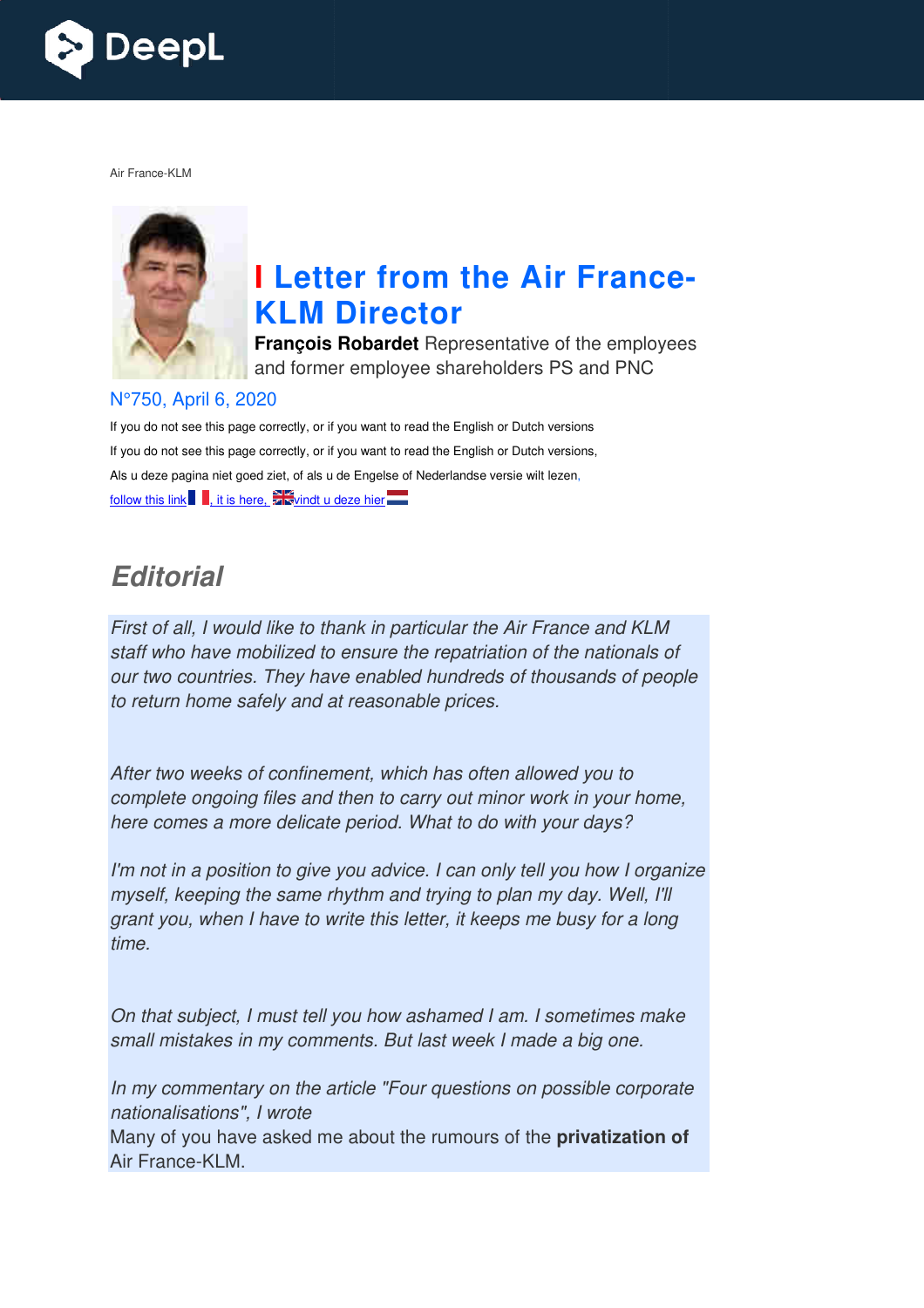

Air France-KLM



# **I** Letter from the Air France-**KLM Director**

**François Robardet** Representative of the employees and former employee shareholders PS and PNC

#### N°750, April 6, 2020

If you do not see this page correctly, or if you want to read the English or Dutch versions If you do not see this page correctly, or if you want to read the English or Dutch versions, Als u deze pagina niet goed ziet, of als u de Engelse of Nederlandse versie wilt lezen, follow this link  $\blacksquare$ , it is here,  $\mathbb{Z}$  vindt u deze hier

# *Editorial*

First of all, I would like to thank in particular the Air France and KLM staff who have mobilized to ensure the repatriation of the nationals of our two countries. They have enabled hundreds of thousands of people to return home safely and at reasonable prices.

After two weeks of confinement, which has often allowed you to complete ongoing files and then to carry out minor work in your home, here comes a more delicate period. What to do with your days?

I'm not in a position to give you advice. I can only tell you how I organize myself, keeping the same rhythm and trying to plan my day. Well, I'll grant you, when I have to write this letter, it keeps me busy for a long time. l trying to plan my day. Well,<br>tter, it keeps me busy for a lo<br>shamed I am. I sometimes m<br>last week I made a big one.<br>r questions on possible corp

On that subject, I must tell you how ashamed I am. I sometimes make small mistakes in my comments. But last week I made a big one.

In my commentary on the article "Four questions on possible corporate nationalisations", I wrote

Many of you have asked me about the rumours of the **privatization of** Air France-KLM.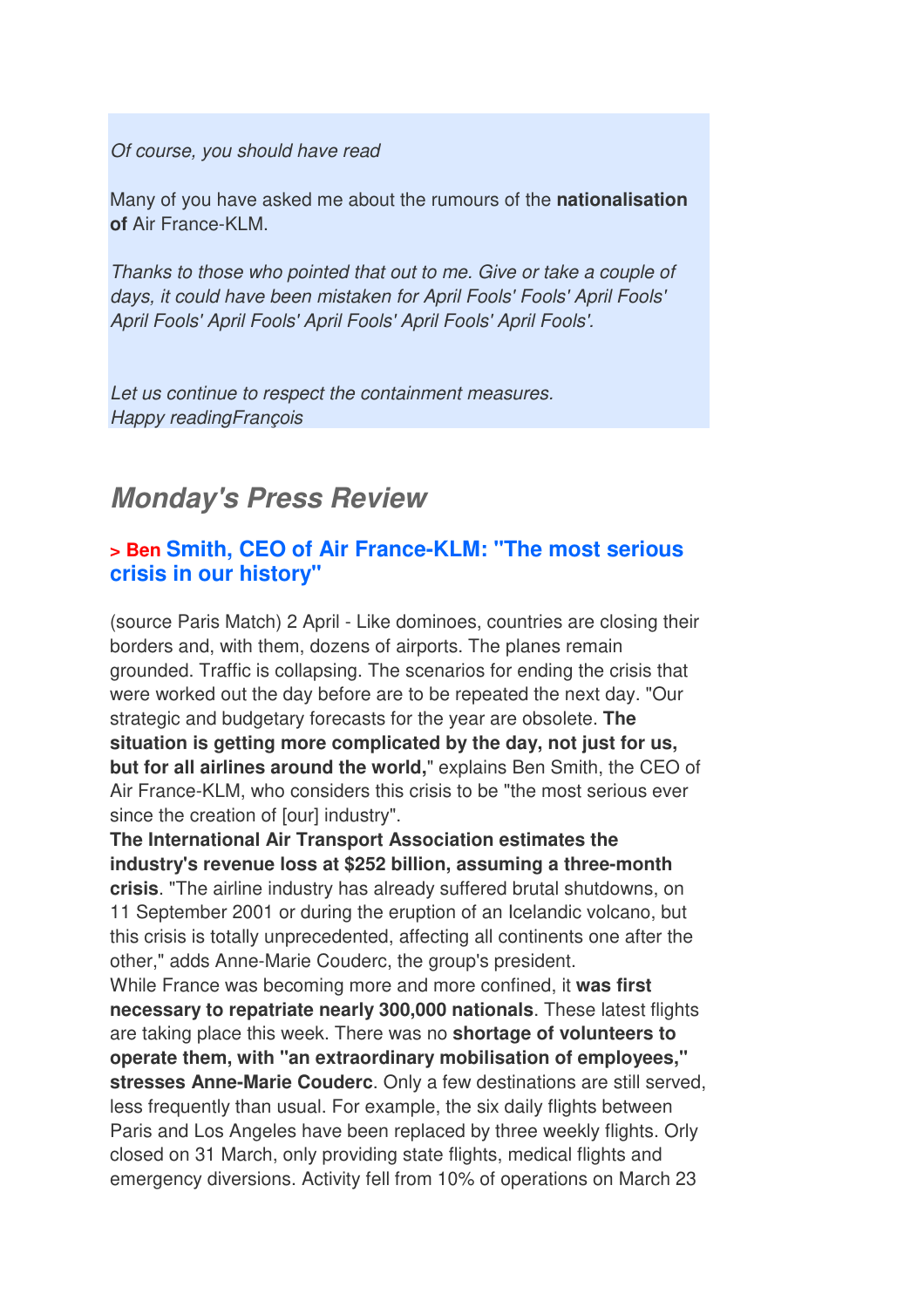Of course, you should have read

Many of you have asked me about the rumours of the **nationalisation of** Air France-KLM.

Thanks to those who pointed that out to me. Give or take a couple of days, it could have been mistaken for April Fools' Fools' April Fools' April Fools' April Fools' April Fools' April Fools' April Fools'.

Let us continue to respect the containment measures. Happy readingFrançois

## *Monday's Press Review*

#### **> Ben Smith, CEO of Air France-KLM: "The most serious crisis in our history"**

(source Paris Match) 2 April - Like dominoes, countries are closing their borders and, with them, dozens of airports. The planes remain grounded. Traffic is collapsing. The scenarios for ending the crisis that were worked out the day before are to be repeated the next day. "Our strategic and budgetary forecasts for the year are obsolete. **The situation is getting more complicated by the day, not just for us, but for all airlines around the world,**" explains Ben Smith, the CEO of Air France-KLM, who considers this crisis to be "the most serious ever since the creation of [our] industry".

**The International Air Transport Association estimates the industry's revenue loss at \$252 billion, assuming a three-month crisis**. "The airline industry has already suffered brutal shutdowns, on 11 September 2001 or during the eruption of an Icelandic volcano, but this crisis is totally unprecedented, affecting all continents one after the other," adds Anne-Marie Couderc, the group's president. While France was becoming more and more confined, it **was first necessary to repatriate nearly 300,000 nationals**. These latest flights are taking place this week. There was no **shortage of volunteers to operate them, with "an extraordinary mobilisation of employees," stresses Anne-Marie Couderc**. Only a few destinations are still served, less frequently than usual. For example, the six daily flights between Paris and Los Angeles have been replaced by three weekly flights. Orly closed on 31 March, only providing state flights, medical flights and emergency diversions. Activity fell from 10% of operations on March 23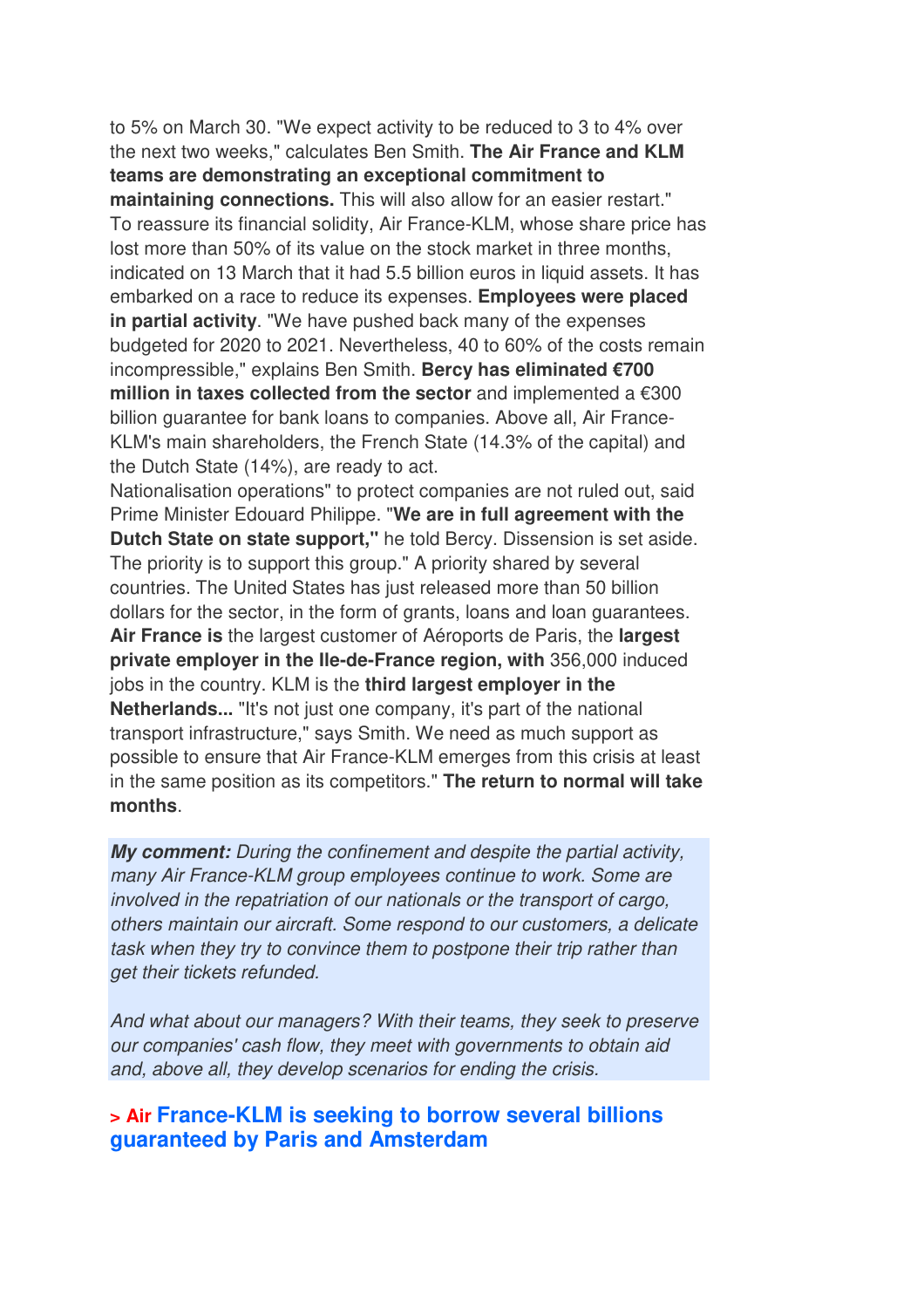to 5% on March 30. "We expect activity to be reduced to 3 to 4% over the next two weeks," calculates Ben Smith. **The Air France and KLM teams are demonstrating an exceptional commitment to maintaining connections.** This will also allow for an easier restart." To reassure its financial solidity, Air France-KLM, whose share price has lost more than 50% of its value on the stock market in three months, indicated on 13 March that it had 5.5 billion euros in liquid assets. It has embarked on a race to reduce its expenses. **Employees were placed in partial activity**. "We have pushed back many of the expenses budgeted for 2020 to 2021. Nevertheless, 40 to 60% of the costs remain incompressible," explains Ben Smith. **Bercy has eliminated €700 million in taxes collected from the sector** and implemented a €300 billion guarantee for bank loans to companies. Above all, Air France-KLM's main shareholders, the French State (14.3% of the capital) and the Dutch State (14%), are ready to act.

Nationalisation operations" to protect companies are not ruled out, said Prime Minister Edouard Philippe. "**We are in full agreement with the Dutch State on state support,"** he told Bercy. Dissension is set aside. The priority is to support this group." A priority shared by several countries. The United States has just released more than 50 billion dollars for the sector, in the form of grants, loans and loan guarantees. **Air France is** the largest customer of Aéroports de Paris, the **largest private employer in the Ile-de-France region, with** 356,000 induced jobs in the country. KLM is the **third largest employer in the Netherlands...** "It's not just one company, it's part of the national transport infrastructure," says Smith. We need as much support as possible to ensure that Air France-KLM emerges from this crisis at least in the same position as its competitors." **The return to normal will take months**.

*My comment:* During the confinement and despite the partial activity, many Air France-KLM group employees continue to work. Some are involved in the repatriation of our nationals or the transport of cargo, others maintain our aircraft. Some respond to our customers, a delicate task when they try to convince them to postpone their trip rather than get their tickets refunded.

And what about our managers? With their teams, they seek to preserve our companies' cash flow, they meet with governments to obtain aid and, above all, they develop scenarios for ending the crisis.

#### **> Air France-KLM is seeking to borrow several billions guaranteed by Paris and Amsterdam**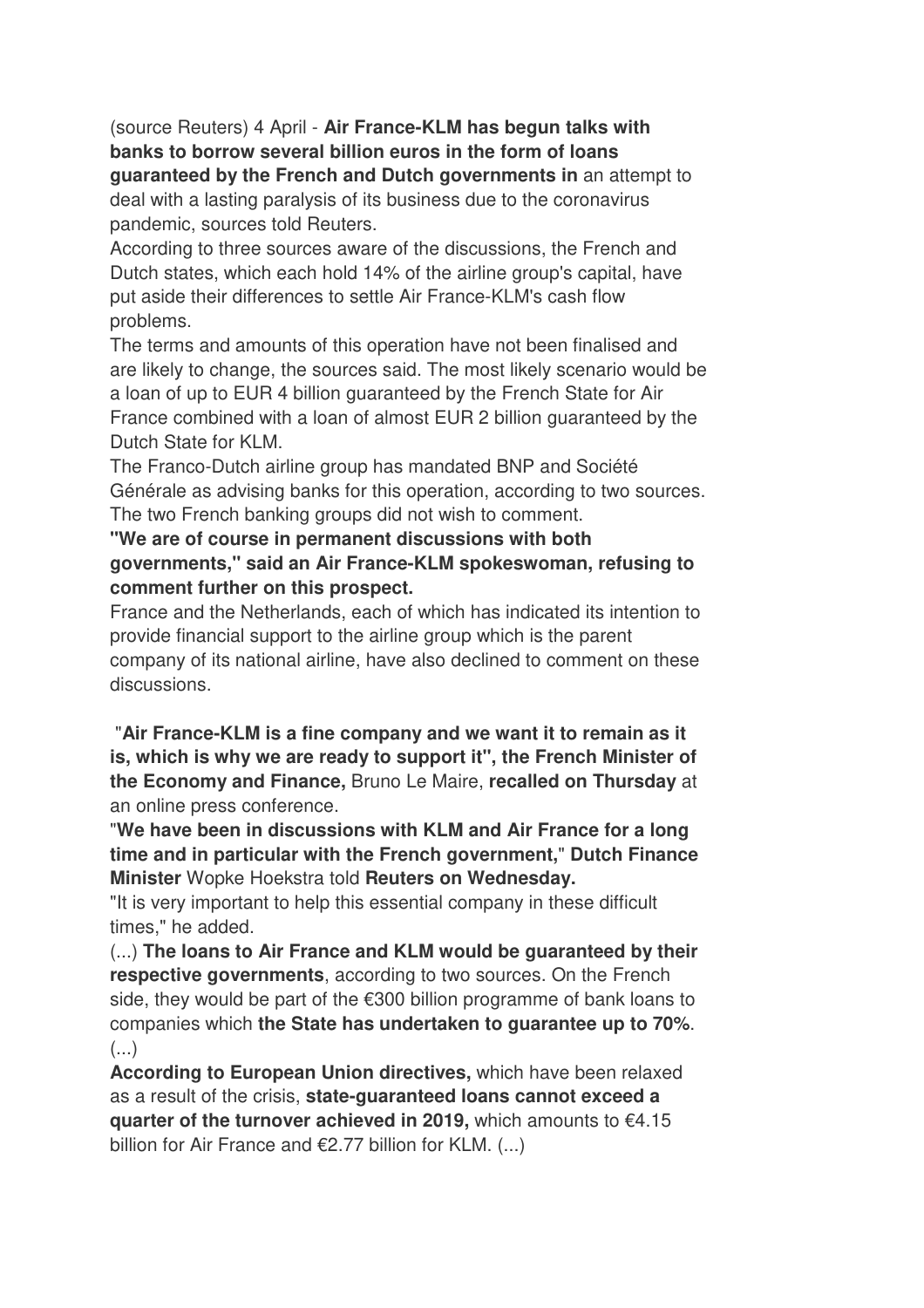(source Reuters) 4 April - **Air France-KLM has begun talks with banks to borrow several billion euros in the form of loans guaranteed by the French and Dutch governments in** an attempt to deal with a lasting paralysis of its business due to the coronavirus pandemic, sources told Reuters.

According to three sources aware of the discussions, the French and Dutch states, which each hold 14% of the airline group's capital, have put aside their differences to settle Air France-KLM's cash flow problems.

The terms and amounts of this operation have not been finalised and are likely to change, the sources said. The most likely scenario would be a loan of up to EUR 4 billion guaranteed by the French State for Air France combined with a loan of almost EUR 2 billion guaranteed by the Dutch State for KLM.

The Franco-Dutch airline group has mandated BNP and Société Générale as advising banks for this operation, according to two sources. The two French banking groups did not wish to comment.

#### **"We are of course in permanent discussions with both governments," said an Air France-KLM spokeswoman, refusing to comment further on this prospect.**

France and the Netherlands, each of which has indicated its intention to provide financial support to the airline group which is the parent company of its national airline, have also declined to comment on these discussions.

 "**Air France-KLM is a fine company and we want it to remain as it is, which is why we are ready to support it", the French Minister of the Economy and Finance,** Bruno Le Maire, **recalled on Thursday** at an online press conference.

"**We have been in discussions with KLM and Air France for a long time and in particular with the French government,**" **Dutch Finance Minister** Wopke Hoekstra told **Reuters on Wednesday.** 

"It is very important to help this essential company in these difficult times," he added.

(...) **The loans to Air France and KLM would be guaranteed by their respective governments**, according to two sources. On the French side, they would be part of the €300 billion programme of bank loans to companies which **the State has undertaken to guarantee up to 70%**.  $(\ldots)$ 

**According to European Union directives,** which have been relaxed as a result of the crisis, **state-guaranteed loans cannot exceed a quarter of the turnover achieved in 2019,** which amounts to €4.15 billion for Air France and  $E$ 2.77 billion for KLM. (...)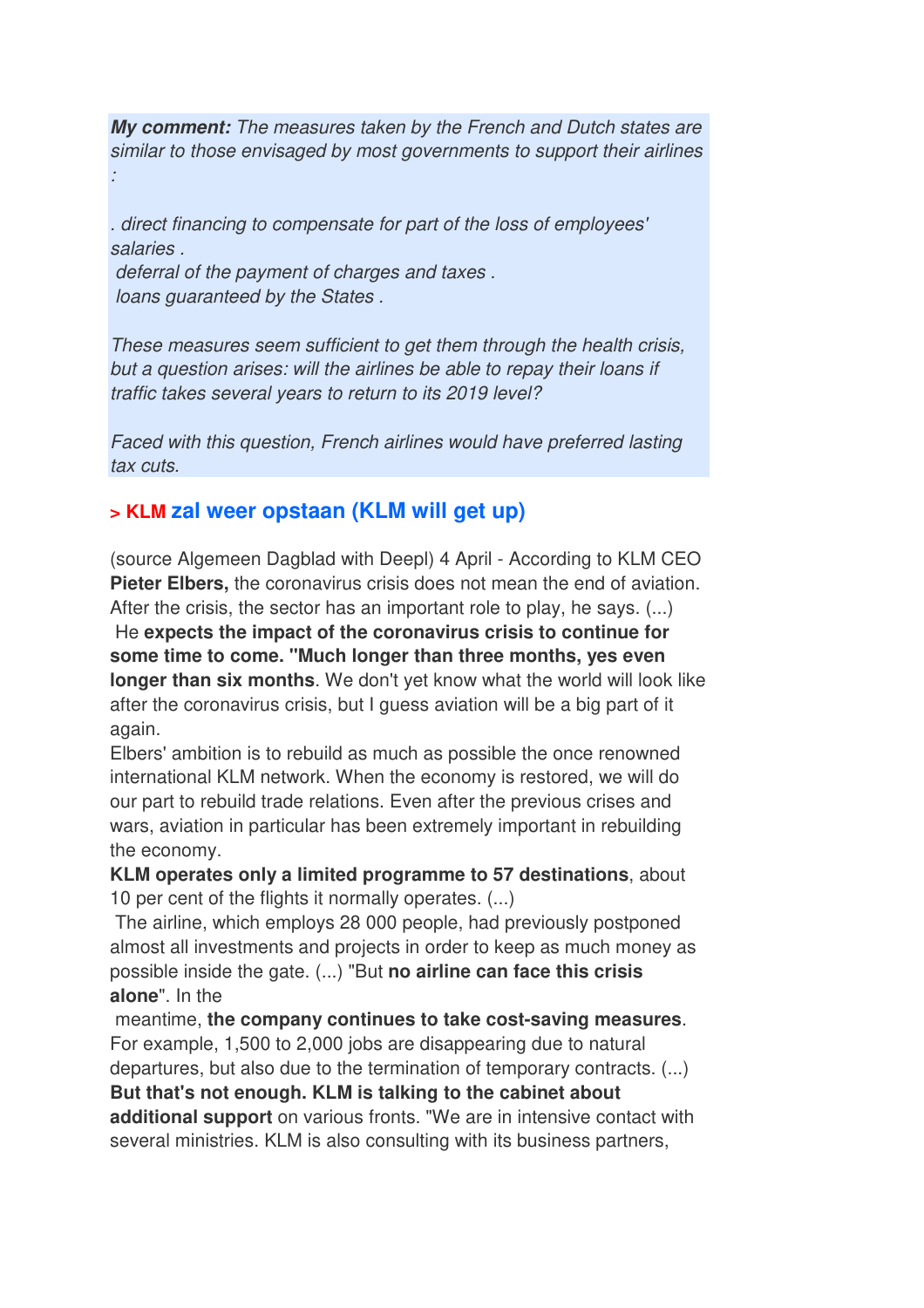*My comment:* The measures taken by the French and Dutch states are similar to those envisaged by most governments to support their airlines :

. direct financing to compensate for part of the loss of employees' salaries .

 deferral of the payment of charges and taxes . loans guaranteed by the States .

These measures seem sufficient to get them through the health crisis, but a question arises: will the airlines be able to repay their loans if traffic takes several years to return to its 2019 level?

Faced with this question, French airlines would have preferred lasting tax cuts.

## **> KLM zal weer opstaan (KLM will get up)**

(source Algemeen Dagblad with Deepl) 4 April - According to KLM CEO **Pieter Elbers,** the coronavirus crisis does not mean the end of aviation. After the crisis, the sector has an important role to play, he says. (...)

 He **expects the impact of the coronavirus crisis to continue for some time to come. "Much longer than three months, yes even longer than six months**. We don't yet know what the world will look like after the coronavirus crisis, but I guess aviation will be a big part of it again.

Elbers' ambition is to rebuild as much as possible the once renowned international KLM network. When the economy is restored, we will do our part to rebuild trade relations. Even after the previous crises and wars, aviation in particular has been extremely important in rebuilding the economy.

**KLM operates only a limited programme to 57 destinations**, about 10 per cent of the flights it normally operates. (...)

 The airline, which employs 28 000 people, had previously postponed almost all investments and projects in order to keep as much money as possible inside the gate. (...) "But **no airline can face this crisis alone**". In the

 meantime, **the company continues to take cost-saving measures**. For example, 1,500 to 2,000 jobs are disappearing due to natural departures, but also due to the termination of temporary contracts. (...) **But that's not enough. KLM is talking to the cabinet about additional support** on various fronts. "We are in intensive contact with several ministries. KLM is also consulting with its business partners,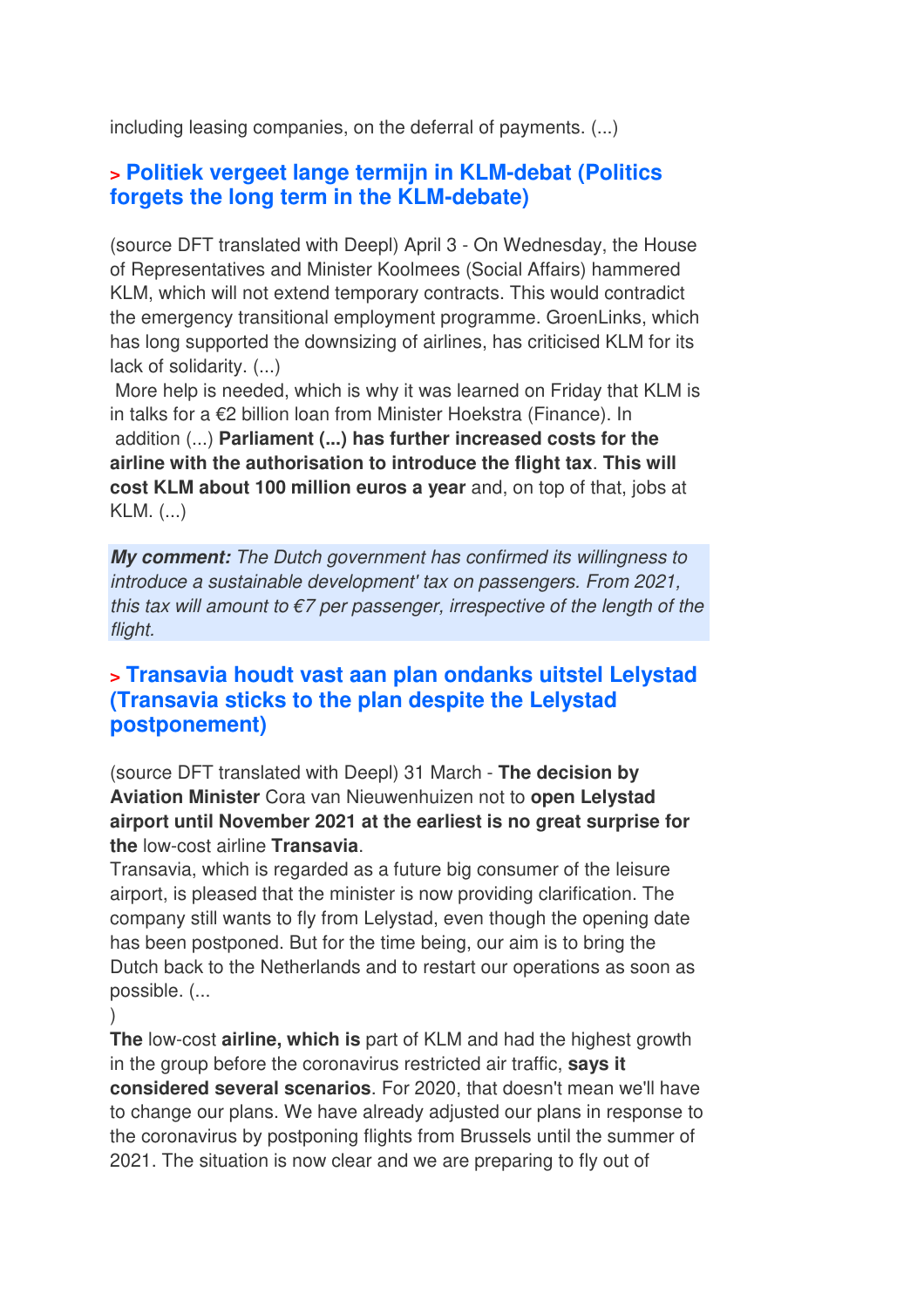including leasing companies, on the deferral of payments. (...)

## **> Politiek vergeet lange termijn in KLM-debat (Politics forgets the long term in the KLM-debate)**

(source DFT translated with Deepl) April 3 - On Wednesday, the House of Representatives and Minister Koolmees (Social Affairs) hammered KLM, which will not extend temporary contracts. This would contradict the emergency transitional employment programme. GroenLinks, which has long supported the downsizing of airlines, has criticised KLM for its lack of solidarity. (...)

 More help is needed, which is why it was learned on Friday that KLM is in talks for a €2 billion loan from Minister Hoekstra (Finance). In addition (...) **Parliament (...) has further increased costs for the airline with the authorisation to introduce the flight tax**. **This will cost KLM about 100 million euros a year** and, on top of that, jobs at KLM. (...)

*My comment:* The Dutch government has confirmed its willingness to introduce a sustainable development' tax on passengers. From 2021, this tax will amount to  $\epsilon$ 7 per passenger, irrespective of the length of the flight.

### **> Transavia houdt vast aan plan ondanks uitstel Lelystad (Transavia sticks to the plan despite the Lelystad postponement)**

(source DFT translated with Deepl) 31 March - **The decision by Aviation Minister** Cora van Nieuwenhuizen not to **open Lelystad airport until November 2021 at the earliest is no great surprise for the** low-cost airline **Transavia**.

Transavia, which is regarded as a future big consumer of the leisure airport, is pleased that the minister is now providing clarification. The company still wants to fly from Lelystad, even though the opening date has been postponed. But for the time being, our aim is to bring the Dutch back to the Netherlands and to restart our operations as soon as possible. (...

)

**The** low-cost **airline, which is** part of KLM and had the highest growth in the group before the coronavirus restricted air traffic, **says it considered several scenarios**. For 2020, that doesn't mean we'll have to change our plans. We have already adjusted our plans in response to the coronavirus by postponing flights from Brussels until the summer of 2021. The situation is now clear and we are preparing to fly out of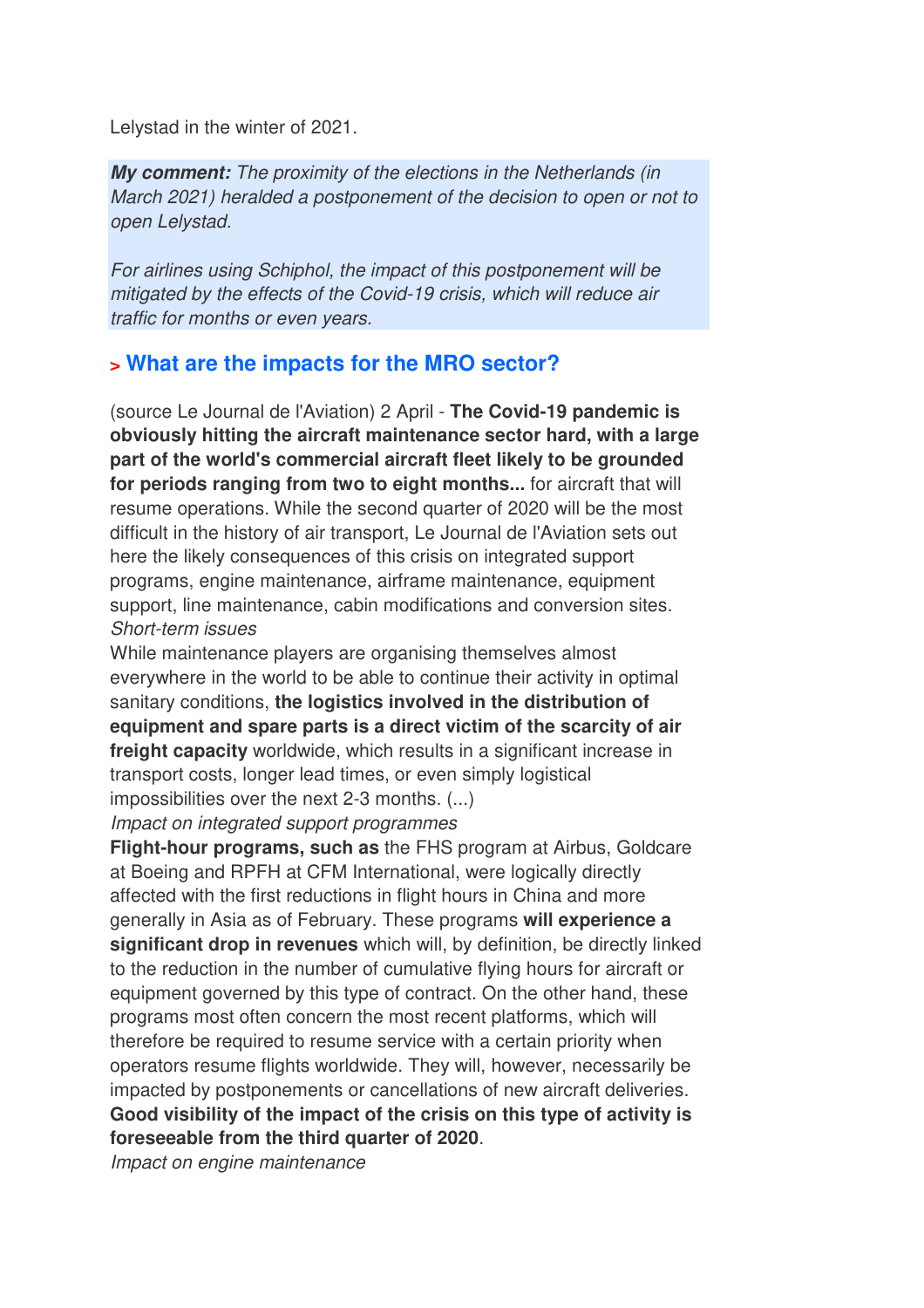Lelystad in the winter of 2021.

*My comment:* The proximity of the elections in the Netherlands (in March 2021) heralded a postponement of the decision to open or not to open Lelystad.

For airlines using Schiphol, the impact of this postponement will be mitigated by the effects of the Covid-19 crisis, which will reduce air traffic for months or even years.

#### **> What are the impacts for the MRO sector?**

(source Le Journal de l'Aviation) 2 April - **The Covid-19 pandemic is obviously hitting the aircraft maintenance sector hard, with a large part of the world's commercial aircraft fleet likely to be grounded for periods ranging from two to eight months...** for aircraft that will resume operations. While the second quarter of 2020 will be the most difficult in the history of air transport, Le Journal de l'Aviation sets out here the likely consequences of this crisis on integrated support programs, engine maintenance, airframe maintenance, equipment support, line maintenance, cabin modifications and conversion sites. Short-term issues

While maintenance players are organising themselves almost everywhere in the world to be able to continue their activity in optimal sanitary conditions, **the logistics involved in the distribution of equipment and spare parts is a direct victim of the scarcity of air freight capacity** worldwide, which results in a significant increase in transport costs, longer lead times, or even simply logistical impossibilities over the next 2-3 months. (...)

Impact on integrated support programmes

**Flight-hour programs, such as** the FHS program at Airbus, Goldcare at Boeing and RPFH at CFM International, were logically directly affected with the first reductions in flight hours in China and more generally in Asia as of February. These programs **will experience a significant drop in revenues** which will, by definition, be directly linked to the reduction in the number of cumulative flying hours for aircraft or equipment governed by this type of contract. On the other hand, these programs most often concern the most recent platforms, which will therefore be required to resume service with a certain priority when operators resume flights worldwide. They will, however, necessarily be impacted by postponements or cancellations of new aircraft deliveries. **Good visibility of the impact of the crisis on this type of activity is foreseeable from the third quarter of 2020**.

Impact on engine maintenance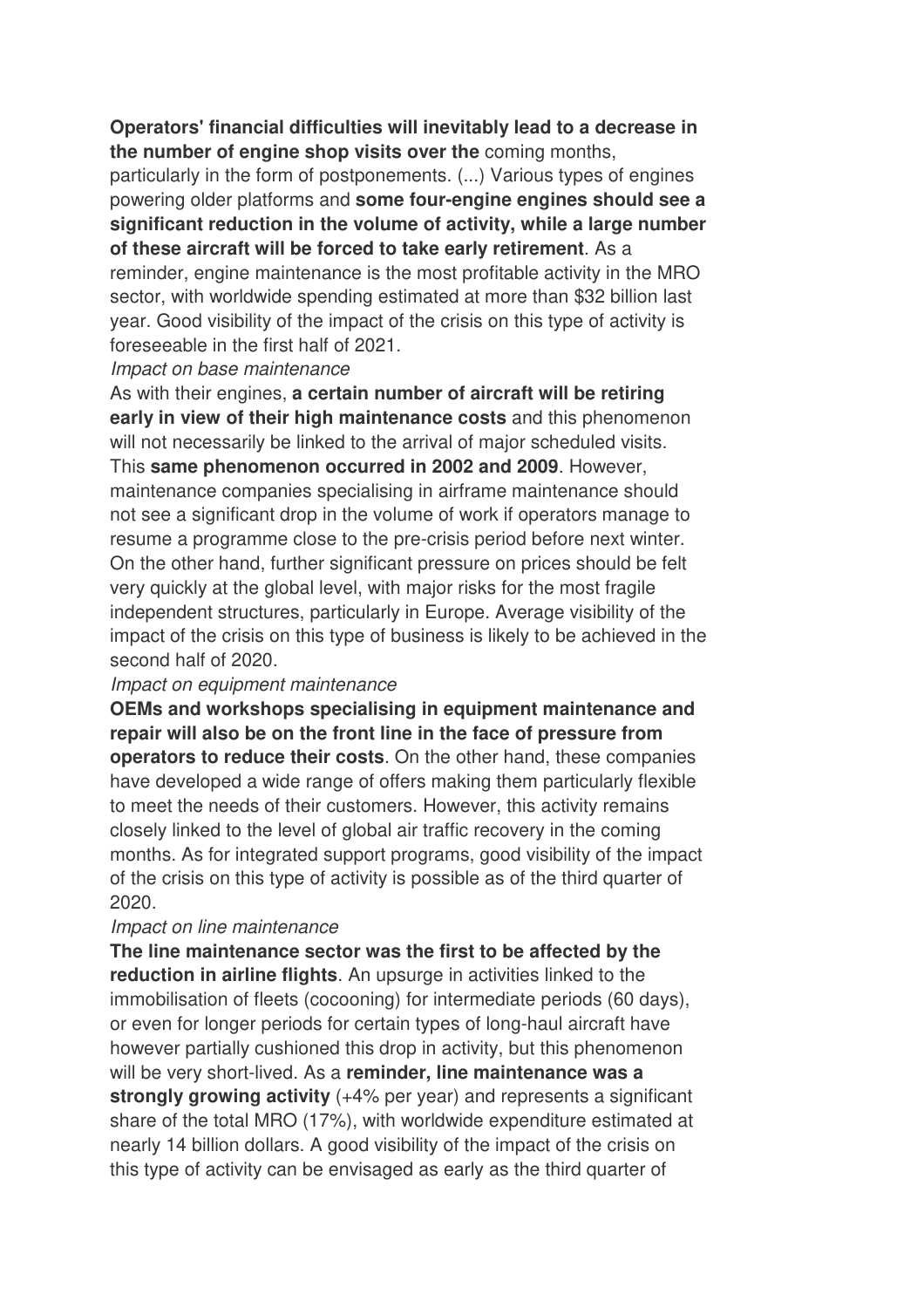#### **Operators' financial difficulties will inevitably lead to a decrease in the number of engine shop visits over the** coming months,

particularly in the form of postponements. (...) Various types of engines powering older platforms and **some four-engine engines should see a significant reduction in the volume of activity, while a large number of these aircraft will be forced to take early retirement**. As a reminder, engine maintenance is the most profitable activity in the MRO sector, with worldwide spending estimated at more than \$32 billion last year. Good visibility of the impact of the crisis on this type of activity is foreseeable in the first half of 2021.

#### Impact on base maintenance

As with their engines, **a certain number of aircraft will be retiring early in view of their high maintenance costs** and this phenomenon will not necessarily be linked to the arrival of major scheduled visits. This **same phenomenon occurred in 2002 and 2009**. However, maintenance companies specialising in airframe maintenance should not see a significant drop in the volume of work if operators manage to resume a programme close to the pre-crisis period before next winter. On the other hand, further significant pressure on prices should be felt very quickly at the global level, with major risks for the most fragile independent structures, particularly in Europe. Average visibility of the impact of the crisis on this type of business is likely to be achieved in the second half of 2020.

#### Impact on equipment maintenance

**OEMs and workshops specialising in equipment maintenance and repair will also be on the front line in the face of pressure from operators to reduce their costs**. On the other hand, these companies have developed a wide range of offers making them particularly flexible to meet the needs of their customers. However, this activity remains closely linked to the level of global air traffic recovery in the coming months. As for integrated support programs, good visibility of the impact of the crisis on this type of activity is possible as of the third quarter of 2020.

#### Impact on line maintenance

**The line maintenance sector was the first to be affected by the reduction in airline flights**. An upsurge in activities linked to the immobilisation of fleets (cocooning) for intermediate periods (60 days), or even for longer periods for certain types of long-haul aircraft have however partially cushioned this drop in activity, but this phenomenon will be very short-lived. As a **reminder, line maintenance was a strongly growing activity** (+4% per year) and represents a significant share of the total MRO (17%), with worldwide expenditure estimated at nearly 14 billion dollars. A good visibility of the impact of the crisis on this type of activity can be envisaged as early as the third quarter of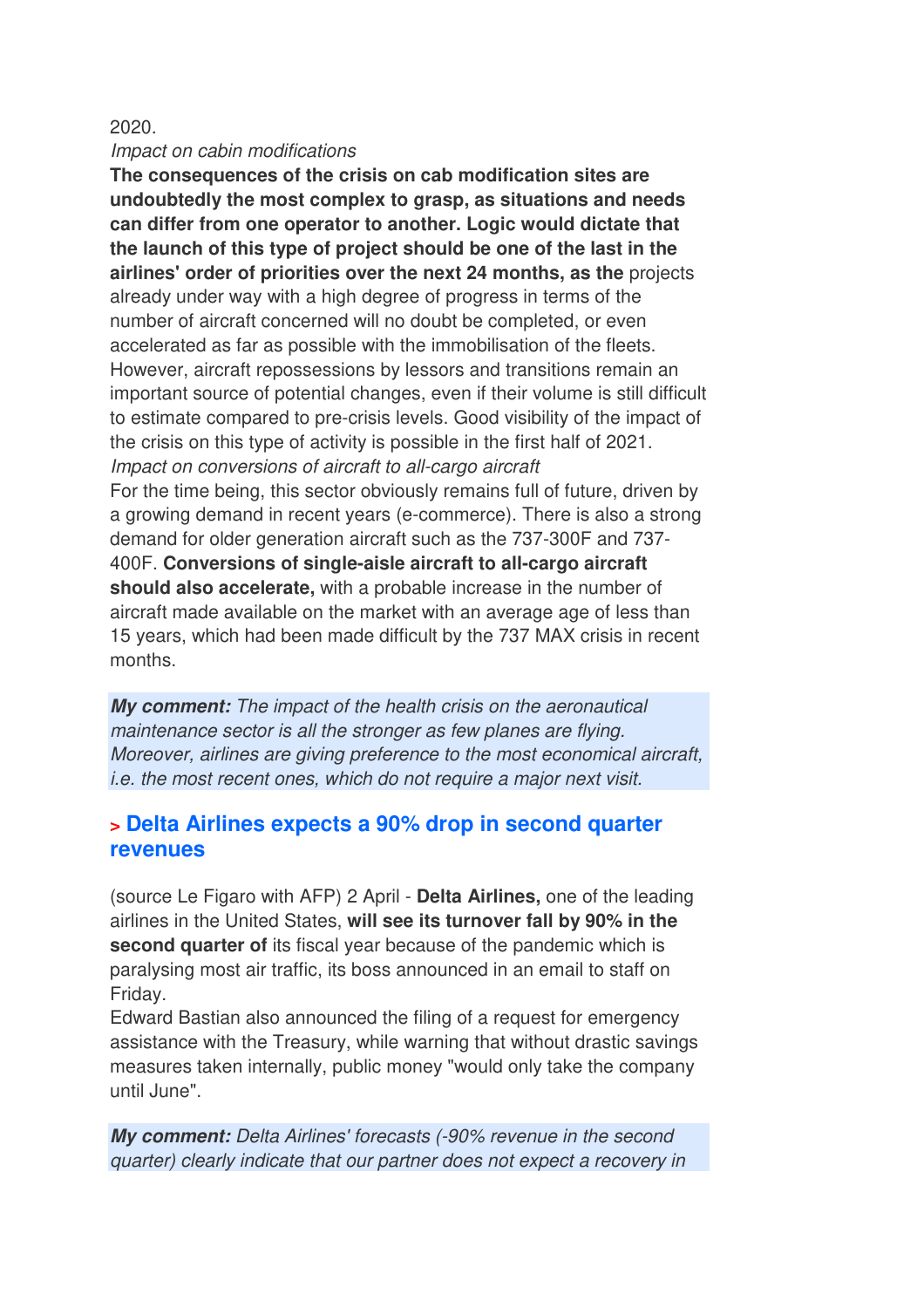#### 2020.

#### Impact on cabin modifications

**The consequences of the crisis on cab modification sites are undoubtedly the most complex to grasp, as situations and needs can differ from one operator to another. Logic would dictate that the launch of this type of project should be one of the last in the airlines' order of priorities over the next 24 months, as the** projects already under way with a high degree of progress in terms of the number of aircraft concerned will no doubt be completed, or even accelerated as far as possible with the immobilisation of the fleets. However, aircraft repossessions by lessors and transitions remain an important source of potential changes, even if their volume is still difficult to estimate compared to pre-crisis levels. Good visibility of the impact of the crisis on this type of activity is possible in the first half of 2021. Impact on conversions of aircraft to all-cargo aircraft For the time being, this sector obviously remains full of future, driven by a growing demand in recent years (e-commerce). There is also a strong demand for older generation aircraft such as the 737-300F and 737- 400F. **Conversions of single-aisle aircraft to all-cargo aircraft should also accelerate,** with a probable increase in the number of aircraft made available on the market with an average age of less than 15 years, which had been made difficult by the 737 MAX crisis in recent months.

*My comment:* The impact of the health crisis on the aeronautical maintenance sector is all the stronger as few planes are flying. Moreover, airlines are giving preference to the most economical aircraft, i.e. the most recent ones, which do not require a major next visit.

#### **> Delta Airlines expects a 90% drop in second quarter revenues**

(source Le Figaro with AFP) 2 April - **Delta Airlines,** one of the leading airlines in the United States, **will see its turnover fall by 90% in the second quarter of** its fiscal year because of the pandemic which is paralysing most air traffic, its boss announced in an email to staff on Friday.

Edward Bastian also announced the filing of a request for emergency assistance with the Treasury, while warning that without drastic savings measures taken internally, public money "would only take the company until June".

*My comment:* Delta Airlines' forecasts (-90% revenue in the second quarter) clearly indicate that our partner does not expect a recovery in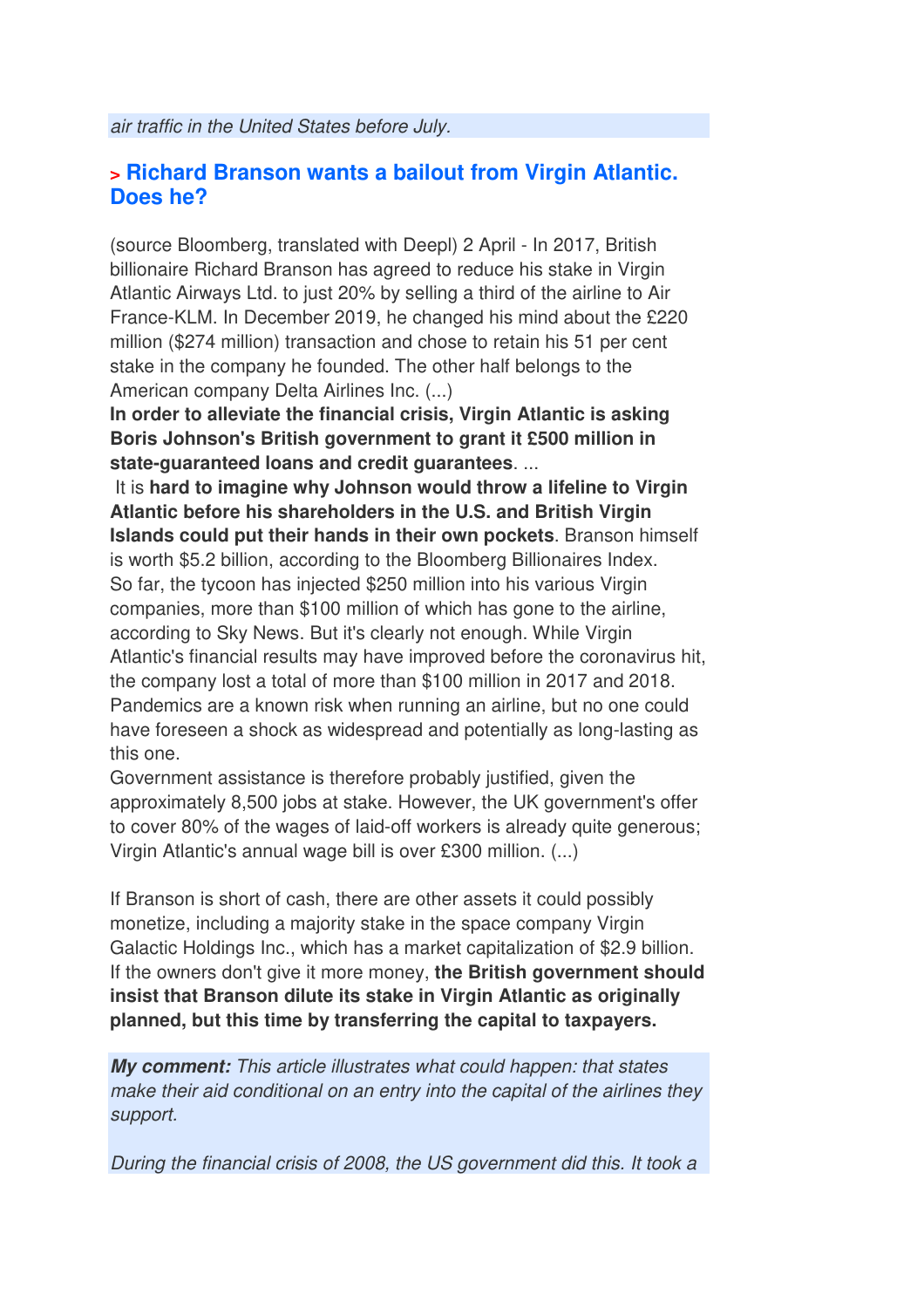air traffic in the United States before July.

#### **> Richard Branson wants a bailout from Virgin Atlantic. Does he?**

(source Bloomberg, translated with Deepl) 2 April - In 2017, British billionaire Richard Branson has agreed to reduce his stake in Virgin Atlantic Airways Ltd. to just 20% by selling a third of the airline to Air France-KLM. In December 2019, he changed his mind about the £220 million (\$274 million) transaction and chose to retain his 51 per cent stake in the company he founded. The other half belongs to the American company Delta Airlines Inc. (...)

**In order to alleviate the financial crisis, Virgin Atlantic is asking Boris Johnson's British government to grant it £500 million in state-guaranteed loans and credit guarantees**. ...

 It is **hard to imagine why Johnson would throw a lifeline to Virgin Atlantic before his shareholders in the U.S. and British Virgin Islands could put their hands in their own pockets**. Branson himself is worth \$5.2 billion, according to the Bloomberg Billionaires Index. So far, the tycoon has injected \$250 million into his various Virgin companies, more than \$100 million of which has gone to the airline, according to Sky News. But it's clearly not enough. While Virgin Atlantic's financial results may have improved before the coronavirus hit, the company lost a total of more than \$100 million in 2017 and 2018. Pandemics are a known risk when running an airline, but no one could have foreseen a shock as widespread and potentially as long-lasting as this one.

Government assistance is therefore probably justified, given the approximately 8,500 jobs at stake. However, the UK government's offer to cover 80% of the wages of laid-off workers is already quite generous; Virgin Atlantic's annual wage bill is over £300 million. (...)

If Branson is short of cash, there are other assets it could possibly monetize, including a majority stake in the space company Virgin Galactic Holdings Inc., which has a market capitalization of \$2.9 billion. If the owners don't give it more money, **the British government should insist that Branson dilute its stake in Virgin Atlantic as originally planned, but this time by transferring the capital to taxpayers.**

*My comment:* This article illustrates what could happen: that states make their aid conditional on an entry into the capital of the airlines they support.

During the financial crisis of 2008, the US government did this. It took a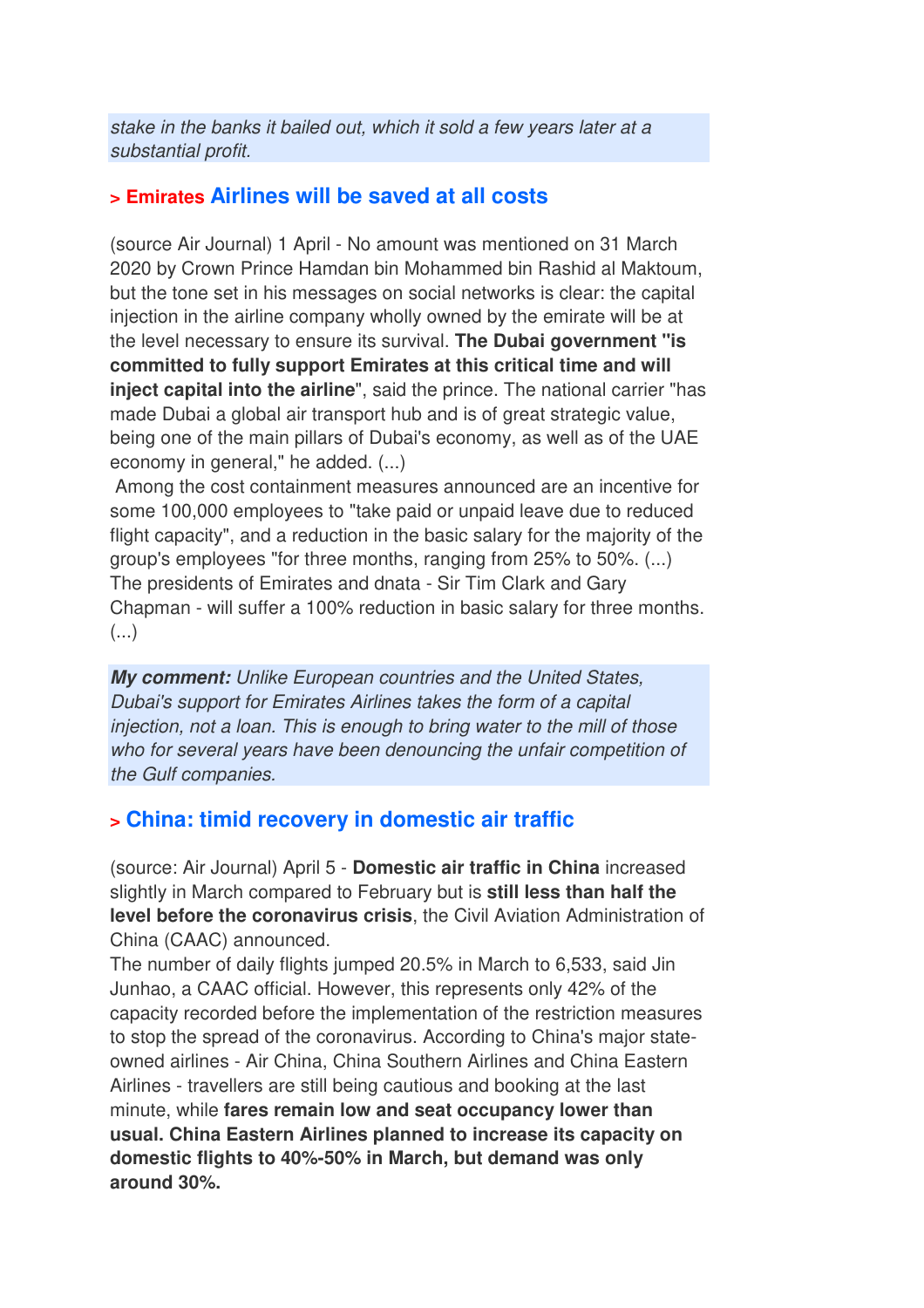stake in the banks it bailed out, which it sold a few years later at a substantial profit.

### **> Emirates Airlines will be saved at all costs**

(source Air Journal) 1 April - No amount was mentioned on 31 March 2020 by Crown Prince Hamdan bin Mohammed bin Rashid al Maktoum, but the tone set in his messages on social networks is clear: the capital injection in the airline company wholly owned by the emirate will be at the level necessary to ensure its survival. **The Dubai government "is committed to fully support Emirates at this critical time and will inject capital into the airline**", said the prince. The national carrier "has made Dubai a global air transport hub and is of great strategic value, being one of the main pillars of Dubai's economy, as well as of the UAE economy in general," he added. (...)

 Among the cost containment measures announced are an incentive for some 100,000 employees to "take paid or unpaid leave due to reduced flight capacity", and a reduction in the basic salary for the majority of the group's employees "for three months, ranging from 25% to 50%. (...) The presidents of Emirates and dnata - Sir Tim Clark and Gary Chapman - will suffer a 100% reduction in basic salary for three months. (...)

*My comment:* Unlike European countries and the United States, Dubai's support for Emirates Airlines takes the form of a capital injection, not a loan. This is enough to bring water to the mill of those who for several years have been denouncing the unfair competition of the Gulf companies.

## **> China: timid recovery in domestic air traffic**

(source: Air Journal) April 5 - **Domestic air traffic in China** increased slightly in March compared to February but is **still less than half the level before the coronavirus crisis**, the Civil Aviation Administration of China (CAAC) announced.

The number of daily flights jumped 20.5% in March to 6,533, said Jin Junhao, a CAAC official. However, this represents only 42% of the capacity recorded before the implementation of the restriction measures to stop the spread of the coronavirus. According to China's major stateowned airlines - Air China, China Southern Airlines and China Eastern Airlines - travellers are still being cautious and booking at the last minute, while **fares remain low and seat occupancy lower than usual. China Eastern Airlines planned to increase its capacity on domestic flights to 40%-50% in March, but demand was only around 30%.**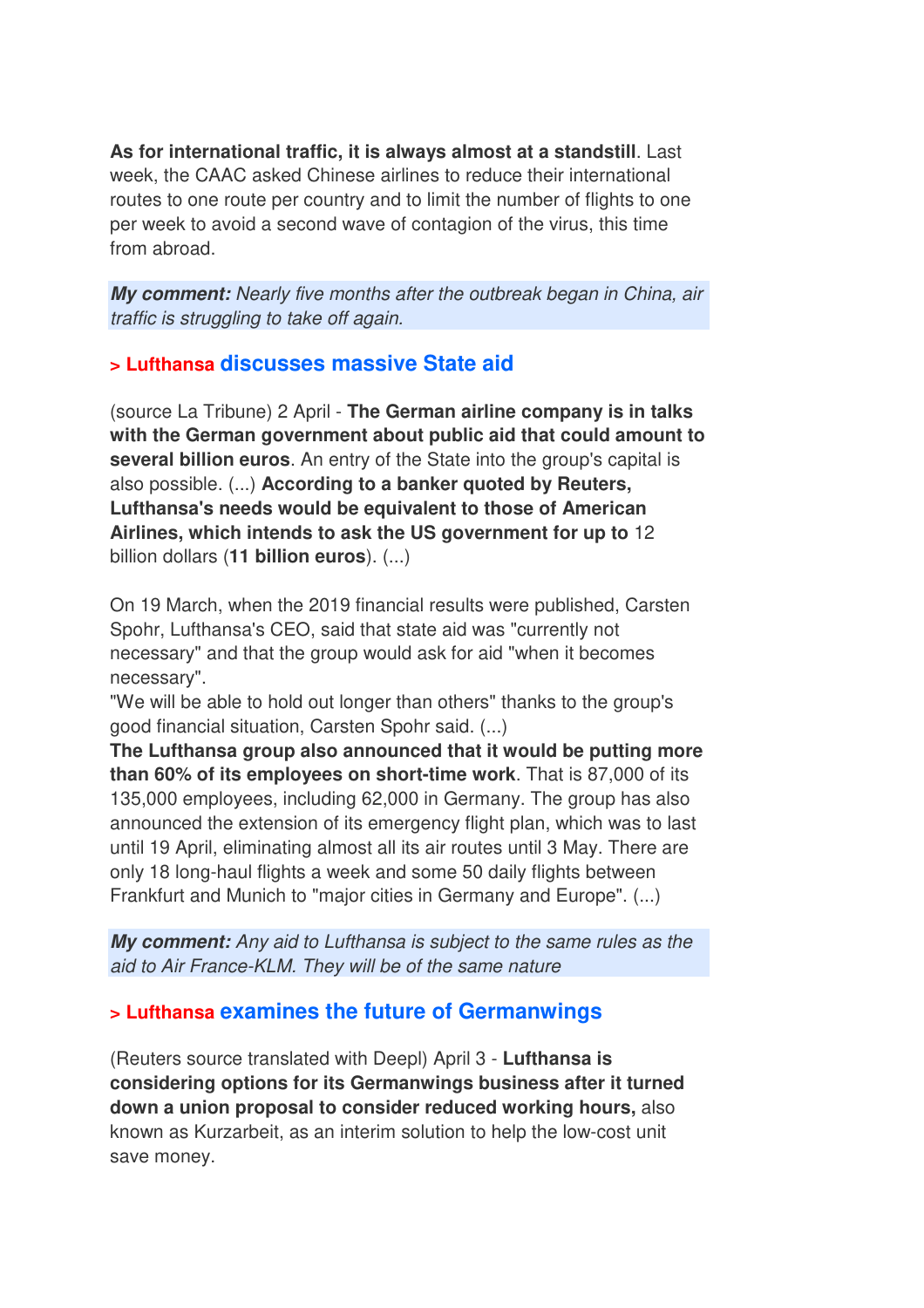**As for international traffic, it is always almost at a standstill**. Last week, the CAAC asked Chinese airlines to reduce their international routes to one route per country and to limit the number of flights to one per week to avoid a second wave of contagion of the virus, this time from abroad.

*My comment:* Nearly five months after the outbreak began in China, air traffic is struggling to take off again.

### **> Lufthansa discusses massive State aid**

(source La Tribune) 2 April - **The German airline company is in talks with the German government about public aid that could amount to several billion euros**. An entry of the State into the group's capital is also possible. (...) **According to a banker quoted by Reuters, Lufthansa's needs would be equivalent to those of American Airlines, which intends to ask the US government for up to** 12 billion dollars (**11 billion euros**). (...)

On 19 March, when the 2019 financial results were published, Carsten Spohr, Lufthansa's CEO, said that state aid was "currently not necessary" and that the group would ask for aid "when it becomes necessary".

"We will be able to hold out longer than others" thanks to the group's good financial situation, Carsten Spohr said. (...)

**The Lufthansa group also announced that it would be putting more than 60% of its employees on short-time work**. That is 87,000 of its 135,000 employees, including 62,000 in Germany. The group has also announced the extension of its emergency flight plan, which was to last until 19 April, eliminating almost all its air routes until 3 May. There are only 18 long-haul flights a week and some 50 daily flights between Frankfurt and Munich to "major cities in Germany and Europe". (...)

*My comment:* Any aid to Lufthansa is subject to the same rules as the aid to Air France-KLM. They will be of the same nature

## **> Lufthansa examines the future of Germanwings**

(Reuters source translated with Deepl) April 3 - **Lufthansa is considering options for its Germanwings business after it turned down a union proposal to consider reduced working hours,** also known as Kurzarbeit, as an interim solution to help the low-cost unit save money.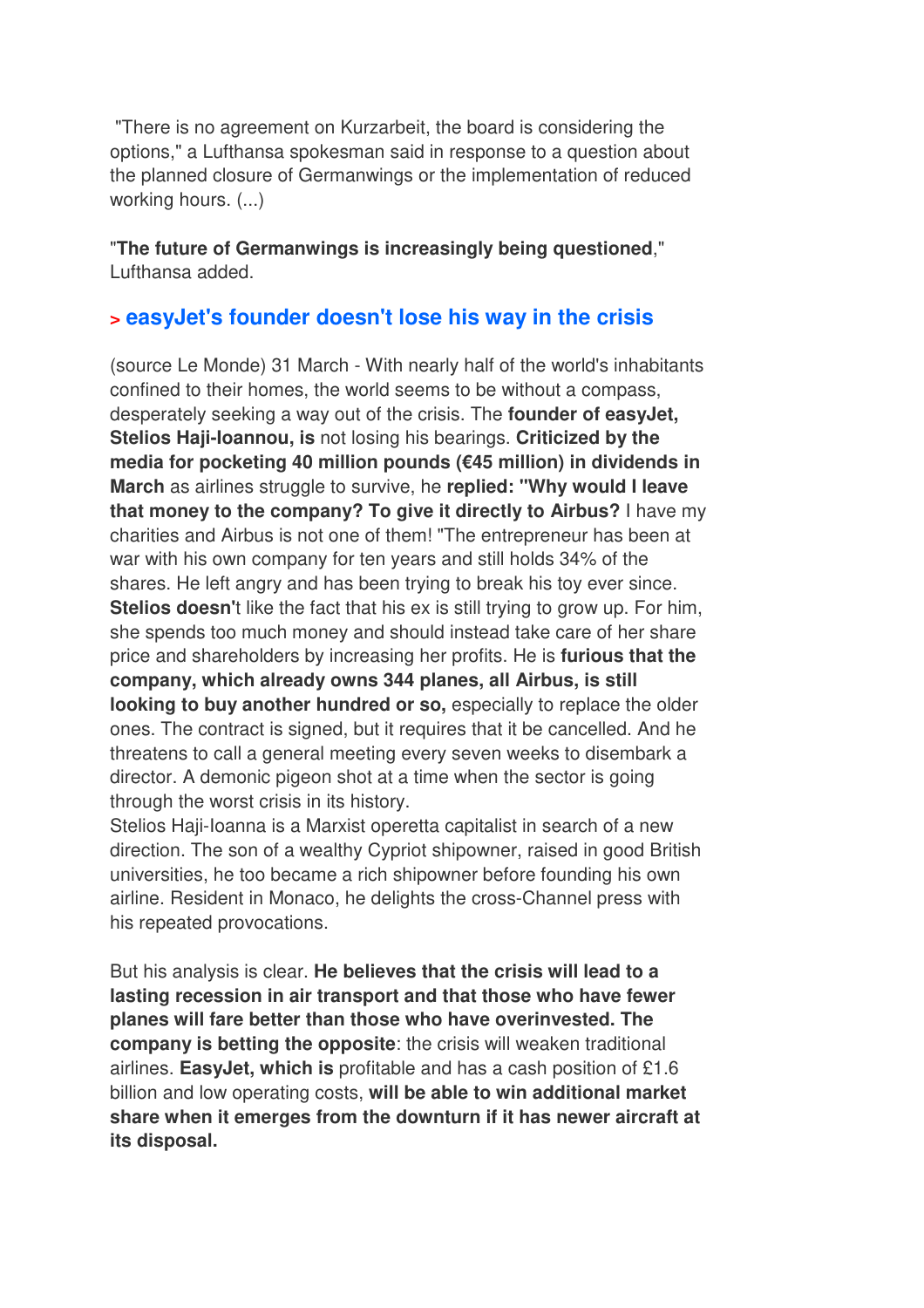"There is no agreement on Kurzarbeit, the board is considering the options," a Lufthansa spokesman said in response to a question about the planned closure of Germanwings or the implementation of reduced working hours. (...)

"**The future of Germanwings is increasingly being questioned**," Lufthansa added.

## **> easyJet's founder doesn't lose his way in the crisis**

(source Le Monde) 31 March - With nearly half of the world's inhabitants confined to their homes, the world seems to be without a compass, desperately seeking a way out of the crisis. The **founder of easyJet, Stelios Haji-Ioannou, is** not losing his bearings. **Criticized by the media for pocketing 40 million pounds (€45 million) in dividends in March** as airlines struggle to survive, he **replied: "Why would I leave that money to the company? To give it directly to Airbus?** I have my charities and Airbus is not one of them! "The entrepreneur has been at war with his own company for ten years and still holds 34% of the shares. He left angry and has been trying to break his toy ever since. **Stelios doesn'**t like the fact that his ex is still trying to grow up. For him, she spends too much money and should instead take care of her share price and shareholders by increasing her profits. He is **furious that the company, which already owns 344 planes, all Airbus, is still looking to buy another hundred or so,** especially to replace the older ones. The contract is signed, but it requires that it be cancelled. And he threatens to call a general meeting every seven weeks to disembark a director. A demonic pigeon shot at a time when the sector is going through the worst crisis in its history.

Stelios Haji-Ioanna is a Marxist operetta capitalist in search of a new direction. The son of a wealthy Cypriot shipowner, raised in good British universities, he too became a rich shipowner before founding his own airline. Resident in Monaco, he delights the cross-Channel press with his repeated provocations.

But his analysis is clear. **He believes that the crisis will lead to a lasting recession in air transport and that those who have fewer planes will fare better than those who have overinvested. The company is betting the opposite**: the crisis will weaken traditional airlines. **EasyJet, which is** profitable and has a cash position of £1.6 billion and low operating costs, **will be able to win additional market share when it emerges from the downturn if it has newer aircraft at its disposal.**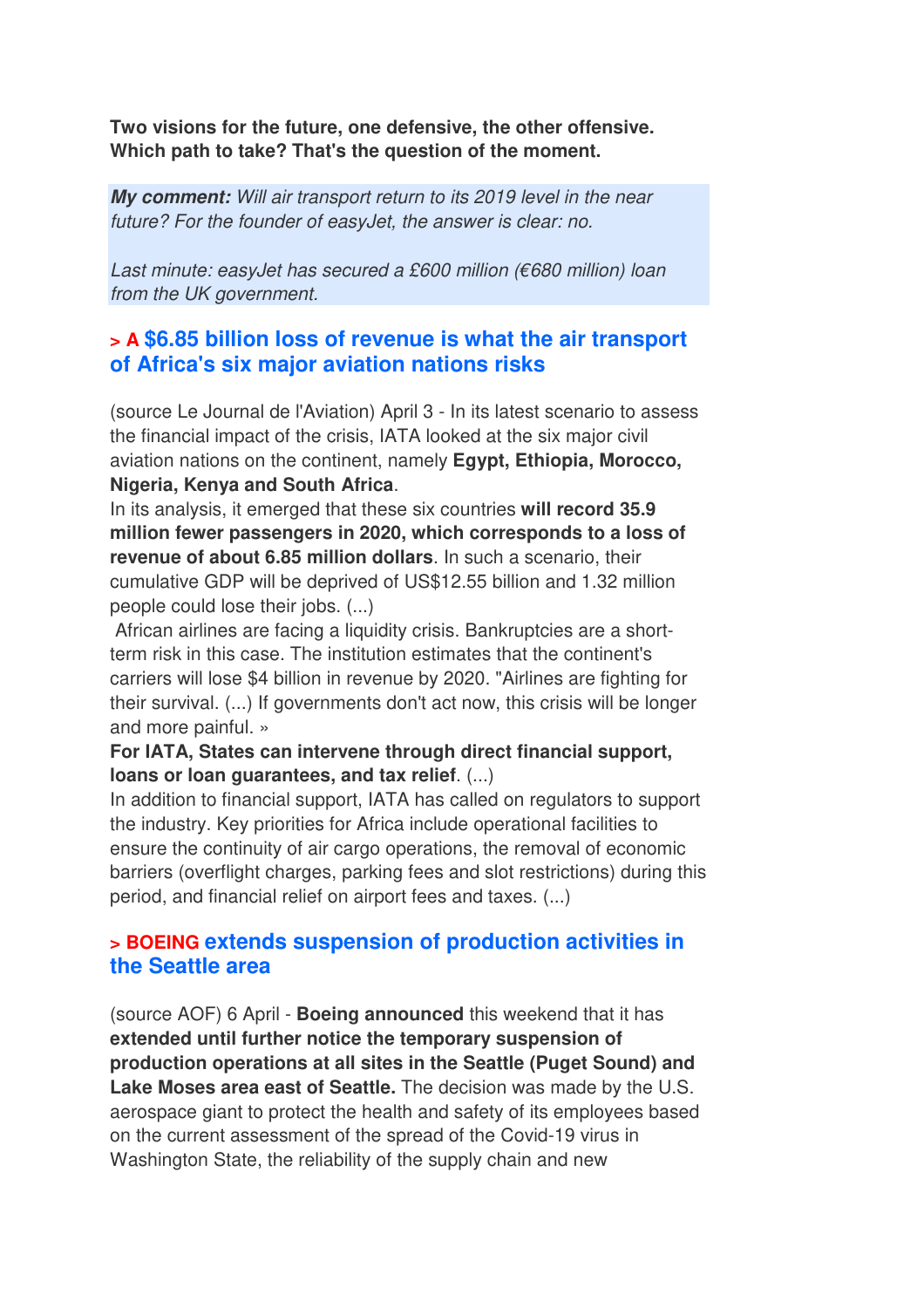**Two visions for the future, one defensive, the other offensive. Which path to take? That's the question of the moment.**

*My comment:* Will air transport return to its 2019 level in the near future? For the founder of easyJet, the answer is clear: no.

Last minute: easyJet has secured a £600 million (€680 million) loan from the UK government.

## **> A \$6.85 billion loss of revenue is what the air transport of Africa's six major aviation nations risks**

(source Le Journal de l'Aviation) April 3 - In its latest scenario to assess the financial impact of the crisis, IATA looked at the six major civil aviation nations on the continent, namely **Egypt, Ethiopia, Morocco, Nigeria, Kenya and South Africa**.

In its analysis, it emerged that these six countries **will record 35.9 million fewer passengers in 2020, which corresponds to a loss of revenue of about 6.85 million dollars**. In such a scenario, their cumulative GDP will be deprived of US\$12.55 billion and 1.32 million people could lose their jobs. (...)

 African airlines are facing a liquidity crisis. Bankruptcies are a shortterm risk in this case. The institution estimates that the continent's carriers will lose \$4 billion in revenue by 2020. "Airlines are fighting for their survival. (...) If governments don't act now, this crisis will be longer and more painful. »

#### **For IATA, States can intervene through direct financial support, loans or loan guarantees, and tax relief**. (...)

In addition to financial support, IATA has called on regulators to support the industry. Key priorities for Africa include operational facilities to ensure the continuity of air cargo operations, the removal of economic barriers (overflight charges, parking fees and slot restrictions) during this period, and financial relief on airport fees and taxes. (...)

### **> BOEING extends suspension of production activities in the Seattle area**

(source AOF) 6 April - **Boeing announced** this weekend that it has **extended until further notice the temporary suspension of production operations at all sites in the Seattle (Puget Sound) and Lake Moses area east of Seattle.** The decision was made by the U.S. aerospace giant to protect the health and safety of its employees based on the current assessment of the spread of the Covid-19 virus in Washington State, the reliability of the supply chain and new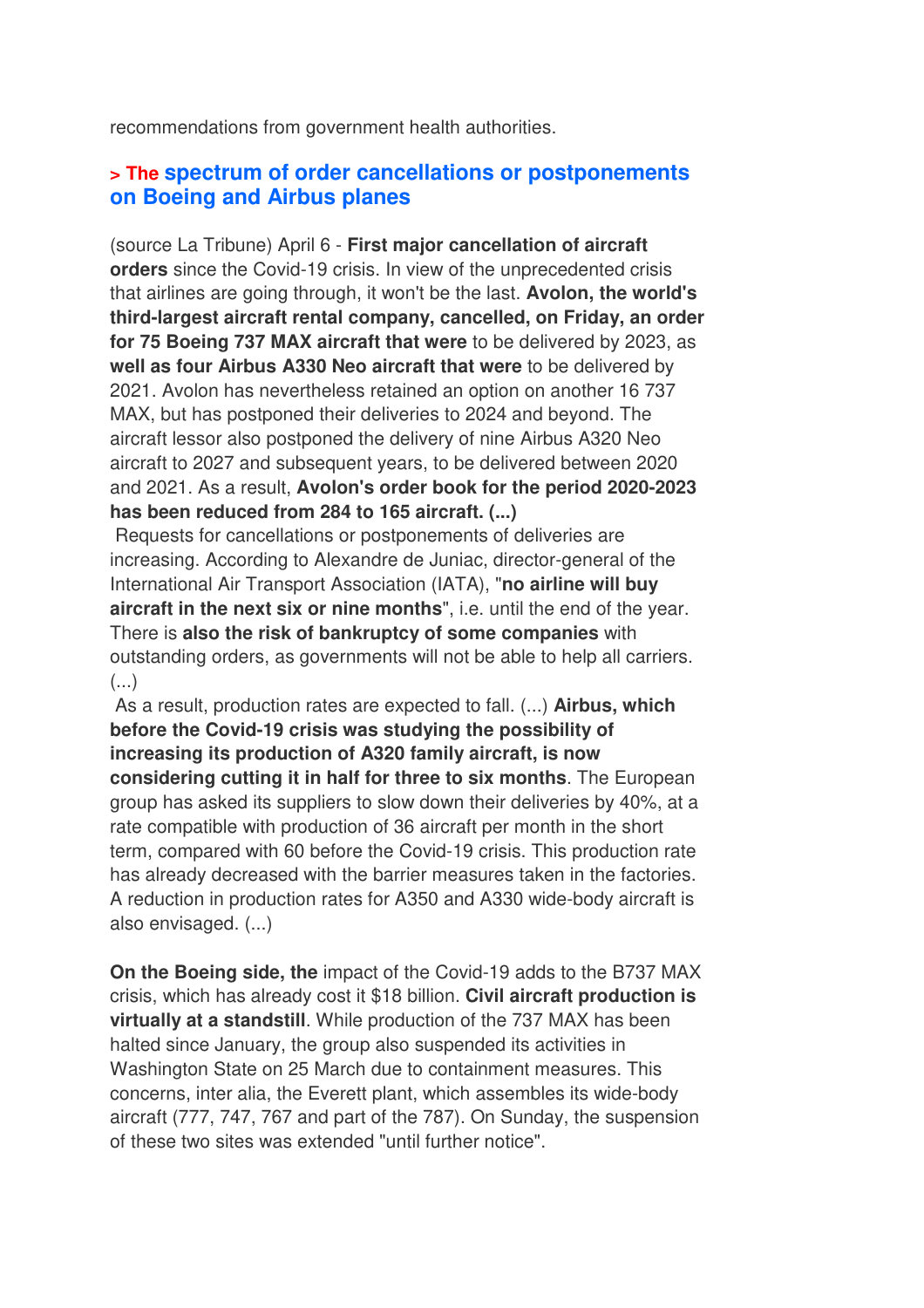recommendations from government health authorities.

### **> The spectrum of order cancellations or postponements on Boeing and Airbus planes**

(source La Tribune) April 6 - **First major cancellation of aircraft orders** since the Covid-19 crisis. In view of the unprecedented crisis that airlines are going through, it won't be the last. **Avolon, the world's third-largest aircraft rental company, cancelled, on Friday, an order for 75 Boeing 737 MAX aircraft that were** to be delivered by 2023, as **well as four Airbus A330 Neo aircraft that were** to be delivered by 2021. Avolon has nevertheless retained an option on another 16 737 MAX, but has postponed their deliveries to 2024 and beyond. The aircraft lessor also postponed the delivery of nine Airbus A320 Neo aircraft to 2027 and subsequent years, to be delivered between 2020 and 2021. As a result, **Avolon's order book for the period 2020-2023 has been reduced from 284 to 165 aircraft. (...)**

 Requests for cancellations or postponements of deliveries are increasing. According to Alexandre de Juniac, director-general of the International Air Transport Association (IATA), "**no airline will buy aircraft in the next six or nine months**", i.e. until the end of the year. There is **also the risk of bankruptcy of some companies** with outstanding orders, as governments will not be able to help all carriers.  $\left( \ldots \right)$ 

 As a result, production rates are expected to fall. (...) **Airbus, which before the Covid-19 crisis was studying the possibility of increasing its production of A320 family aircraft, is now considering cutting it in half for three to six months**. The European group has asked its suppliers to slow down their deliveries by 40%, at a rate compatible with production of 36 aircraft per month in the short term, compared with 60 before the Covid-19 crisis. This production rate has already decreased with the barrier measures taken in the factories. A reduction in production rates for A350 and A330 wide-body aircraft is also envisaged. (...)

**On the Boeing side, the** impact of the Covid-19 adds to the B737 MAX crisis, which has already cost it \$18 billion. **Civil aircraft production is virtually at a standstill**. While production of the 737 MAX has been halted since January, the group also suspended its activities in Washington State on 25 March due to containment measures. This concerns, inter alia, the Everett plant, which assembles its wide-body aircraft (777, 747, 767 and part of the 787). On Sunday, the suspension of these two sites was extended "until further notice".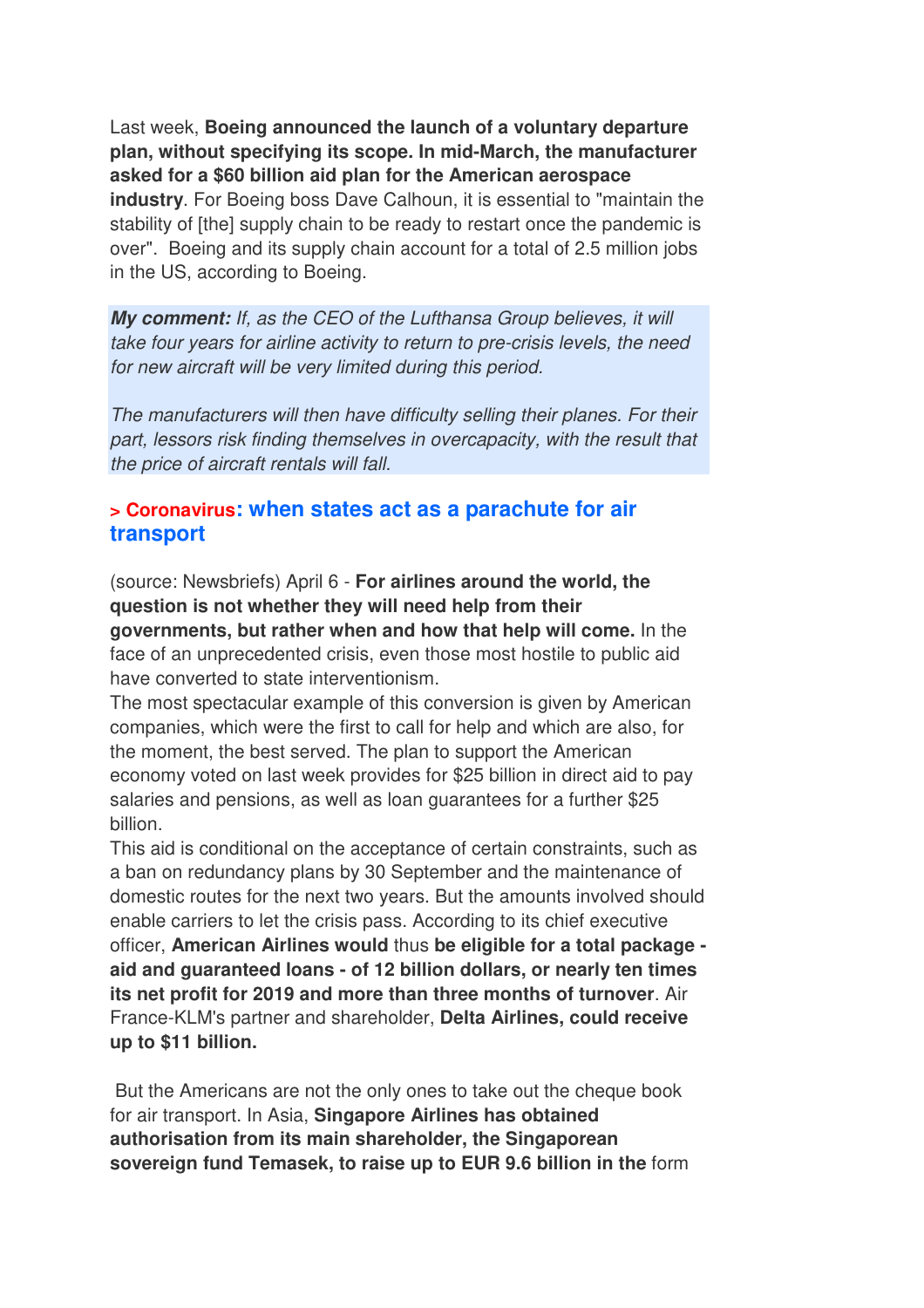Last week, **Boeing announced the launch of a voluntary departure plan, without specifying its scope. In mid-March, the manufacturer asked for a \$60 billion aid plan for the American aerospace industry**. For Boeing boss Dave Calhoun, it is essential to "maintain the stability of [the] supply chain to be ready to restart once the pandemic is over". Boeing and its supply chain account for a total of 2.5 million jobs in the US, according to Boeing.

*My comment:* If, as the CEO of the Lufthansa Group believes, it will take four years for airline activity to return to pre-crisis levels, the need for new aircraft will be very limited during this period.

The manufacturers will then have difficulty selling their planes. For their part, lessors risk finding themselves in overcapacity, with the result that the price of aircraft rentals will fall.

### **> Coronavirus: when states act as a parachute for air transport**

(source: Newsbriefs) April 6 - **For airlines around the world, the question is not whether they will need help from their governments, but rather when and how that help will come.** In the face of an unprecedented crisis, even those most hostile to public aid have converted to state interventionism.

The most spectacular example of this conversion is given by American companies, which were the first to call for help and which are also, for the moment, the best served. The plan to support the American economy voted on last week provides for \$25 billion in direct aid to pay salaries and pensions, as well as loan guarantees for a further \$25 billion.

This aid is conditional on the acceptance of certain constraints, such as a ban on redundancy plans by 30 September and the maintenance of domestic routes for the next two years. But the amounts involved should enable carriers to let the crisis pass. According to its chief executive officer, **American Airlines would** thus **be eligible for a total package aid and guaranteed loans - of 12 billion dollars, or nearly ten times its net profit for 2019 and more than three months of turnover**. Air France-KLM's partner and shareholder, **Delta Airlines, could receive up to \$11 billion.** 

 But the Americans are not the only ones to take out the cheque book for air transport. In Asia, **Singapore Airlines has obtained authorisation from its main shareholder, the Singaporean sovereign fund Temasek, to raise up to EUR 9.6 billion in the** form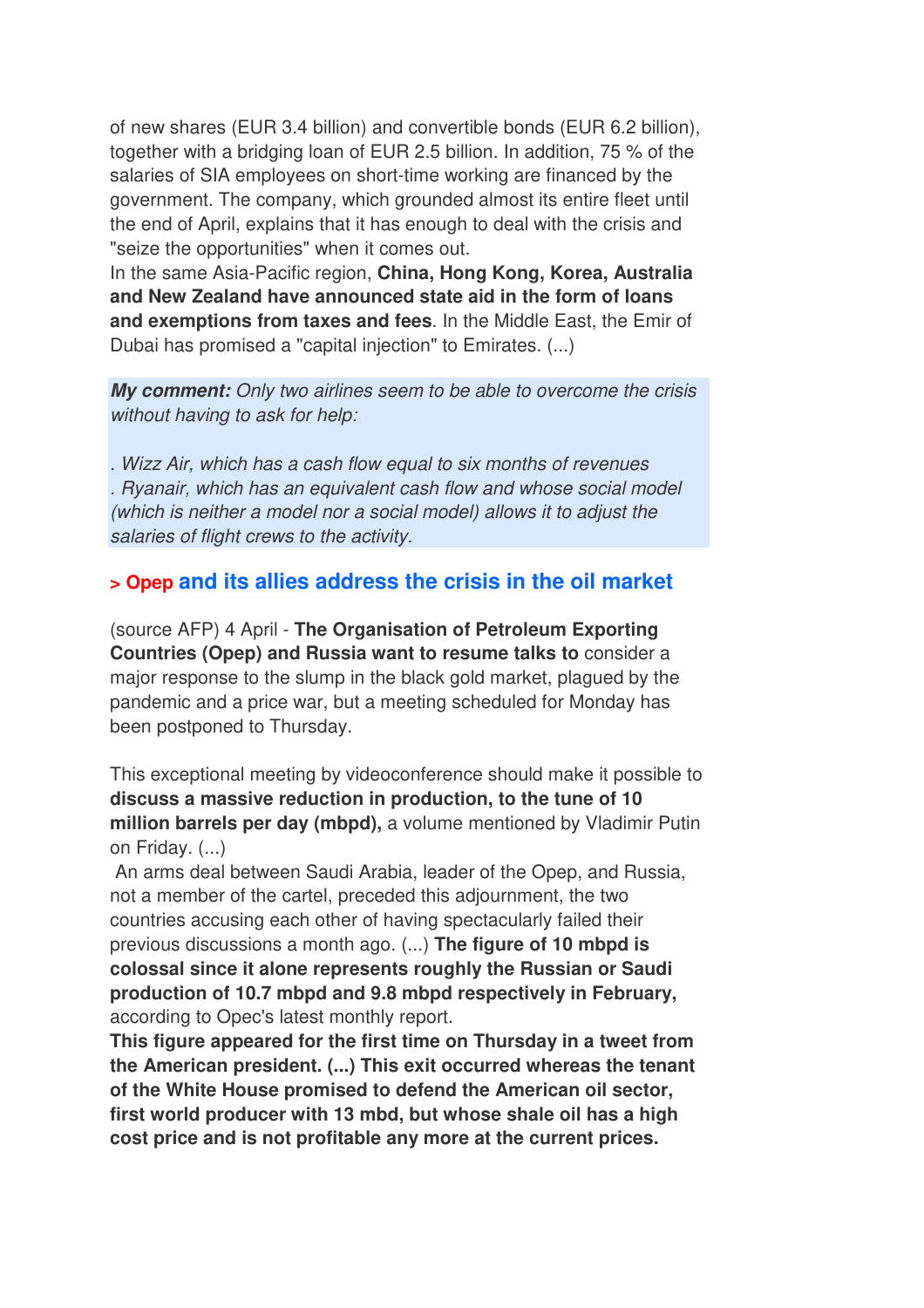of new shares (EUR 3.4 billion) and convertible bonds (EUR 6.2 billion), together with a bridging loan of EUR 2.5 billion. In addition, 75 % of the salaries of SIA employees on short-time working are financed by the government. The company, which grounded almost its entire fleet until the end of April, explains that it has enough to deal with the crisis and "seize the opportunities" when it comes out.

In the same Asia-Pacific region, **China, Hong Kong, Korea, Australia and New Zealand have announced state aid in the form of loans and exemptions from taxes and fees**. In the Middle East, the Emir of Dubai has promised a "capital injection" to Emirates. (...)

*My comment:* Only two airlines seem to be able to overcome the crisis without having to ask for help:

. Wizz Air, which has a cash flow equal to six months of revenues . Ryanair, which has an equivalent cash flow and whose social model (which is neither a model nor a social model) allows it to adjust the salaries of flight crews to the activity.

### **> Opep and its allies address the crisis in the oil market**

(source AFP) 4 April - **The Organisation of Petroleum Exporting Countries (Opep) and Russia want to resume talks to** consider a major response to the slump in the black gold market, plagued by the pandemic and a price war, but a meeting scheduled for Monday has been postponed to Thursday.

This exceptional meeting by videoconference should make it possible to **discuss a massive reduction in production, to the tune of 10 million barrels per day (mbpd),** a volume mentioned by Vladimir Putin on Friday. (...)

 An arms deal between Saudi Arabia, leader of the Opep, and Russia, not a member of the cartel, preceded this adjournment, the two countries accusing each other of having spectacularly failed their previous discussions a month ago. (...) **The figure of 10 mbpd is colossal since it alone represents roughly the Russian or Saudi production of 10.7 mbpd and 9.8 mbpd respectively in February,** according to Opec's latest monthly report.

**This figure appeared for the first time on Thursday in a tweet from the American president. (...) This exit occurred whereas the tenant of the White House promised to defend the American oil sector, first world producer with 13 mbd, but whose shale oil has a high cost price and is not profitable any more at the current prices.**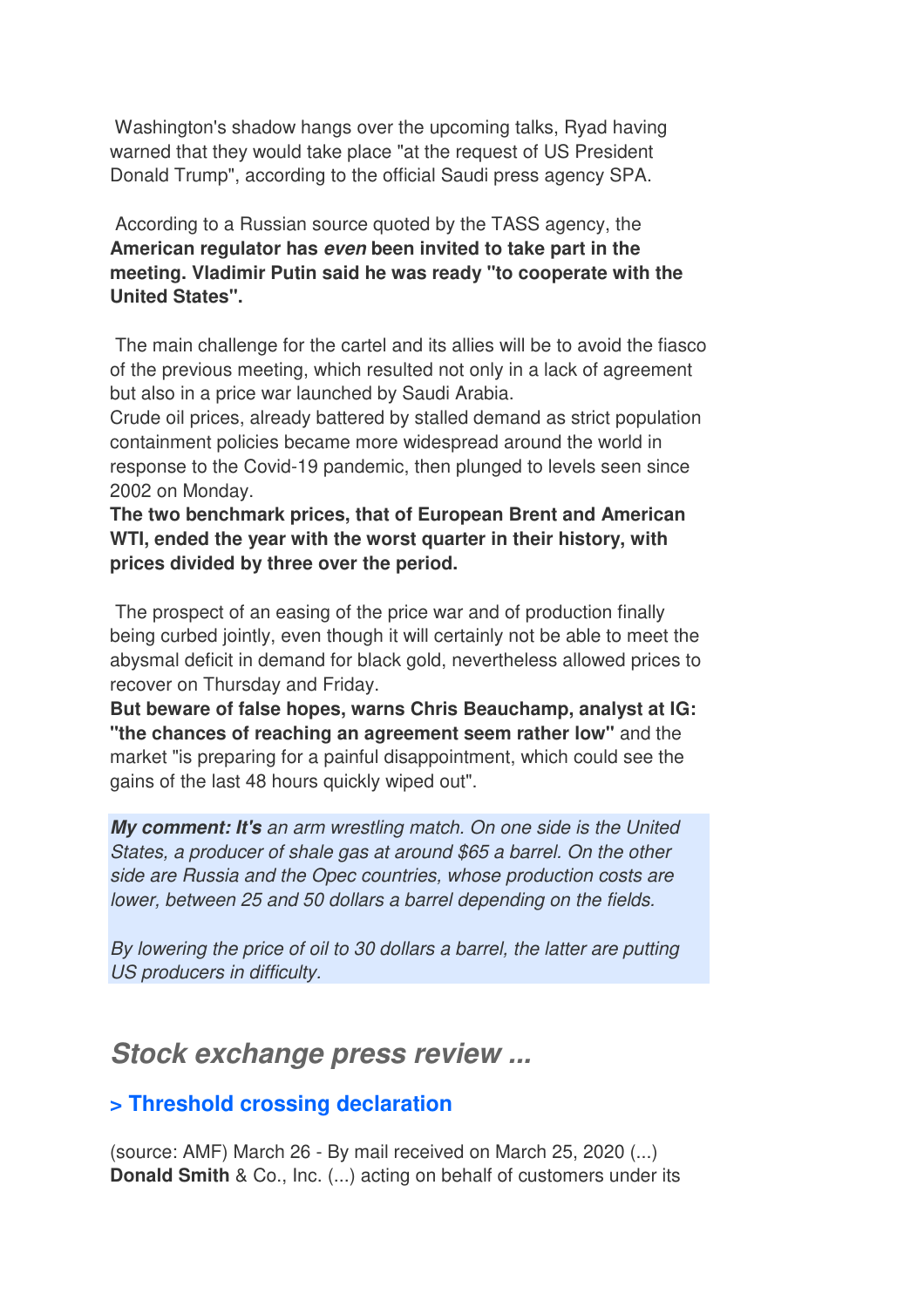Washington's shadow hangs over the upcoming talks, Ryad having warned that they would take place "at the request of US President Donald Trump", according to the official Saudi press agency SPA.

 According to a Russian source quoted by the TASS agency, the **American regulator has** *even* **been invited to take part in the meeting. Vladimir Putin said he was ready "to cooperate with the United States".** 

The main challenge for the cartel and its allies will be to avoid the fiasco of the previous meeting, which resulted not only in a lack of agreement but also in a price war launched by Saudi Arabia.

Crude oil prices, already battered by stalled demand as strict population containment policies became more widespread around the world in response to the Covid-19 pandemic, then plunged to levels seen since 2002 on Monday.

**The two benchmark prices, that of European Brent and American WTI, ended the year with the worst quarter in their history, with prices divided by three over the period.** 

 The prospect of an easing of the price war and of production finally being curbed jointly, even though it will certainly not be able to meet the abysmal deficit in demand for black gold, nevertheless allowed prices to recover on Thursday and Friday.

**But beware of false hopes, warns Chris Beauchamp, analyst at IG: "the chances of reaching an agreement seem rather low"** and the market "is preparing for a painful disappointment, which could see the gains of the last 48 hours quickly wiped out".

*My comment: It's* an arm wrestling match. On one side is the United States, a producer of shale gas at around \$65 a barrel. On the other side are Russia and the Opec countries, whose production costs are lower, between 25 and 50 dollars a barrel depending on the fields.

By lowering the price of oil to 30 dollars a barrel, the latter are putting US producers in difficulty.

# *Stock exchange press review ...*

## **> Threshold crossing declaration**

(source: AMF) March 26 - By mail received on March 25, 2020 (...) **Donald Smith** & Co., Inc. (...) acting on behalf of customers under its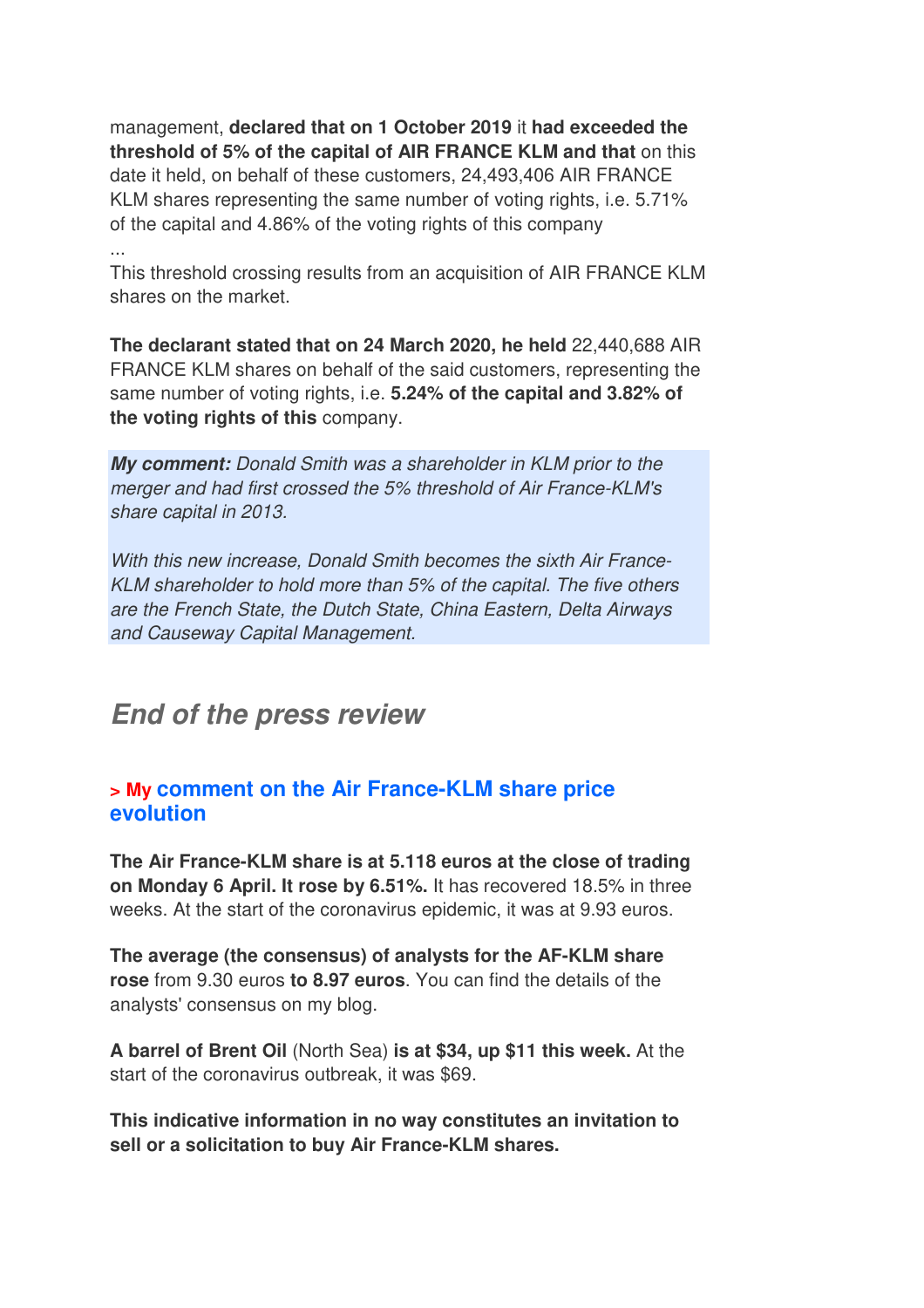management, **declared that on 1 October 2019** it **had exceeded the threshold of 5% of the capital of AIR FRANCE KLM and that** on this date it held, on behalf of these customers, 24,493,406 AIR FRANCE KLM shares representing the same number of voting rights, i.e. 5.71% of the capital and 4.86% of the voting rights of this company ...

This threshold crossing results from an acquisition of AIR FRANCE KLM shares on the market.

**The declarant stated that on 24 March 2020, he held** 22,440,688 AIR FRANCE KLM shares on behalf of the said customers, representing the same number of voting rights, i.e. **5.24% of the capital and 3.82% of the voting rights of this** company.

*My comment:* Donald Smith was a shareholder in KLM prior to the merger and had first crossed the 5% threshold of Air France-KLM's share capital in 2013.

With this new increase, Donald Smith becomes the sixth Air France-KLM shareholder to hold more than 5% of the capital. The five others are the French State, the Dutch State, China Eastern, Delta Airways and Causeway Capital Management.

# *End of the press review*

### **> My comment on the Air France-KLM share price evolution**

**The Air France-KLM share is at 5.118 euros at the close of trading on Monday 6 April. It rose by 6.51%.** It has recovered 18.5% in three weeks. At the start of the coronavirus epidemic, it was at 9.93 euros.

**The average (the consensus) of analysts for the AF-KLM share rose** from 9.30 euros **to 8.97 euros**. You can find the details of the analysts' consensus on my blog.

**A barrel of Brent Oil** (North Sea) **is at \$34, up \$11 this week.** At the start of the coronavirus outbreak, it was \$69.

**This indicative information in no way constitutes an invitation to sell or a solicitation to buy Air France-KLM shares.**